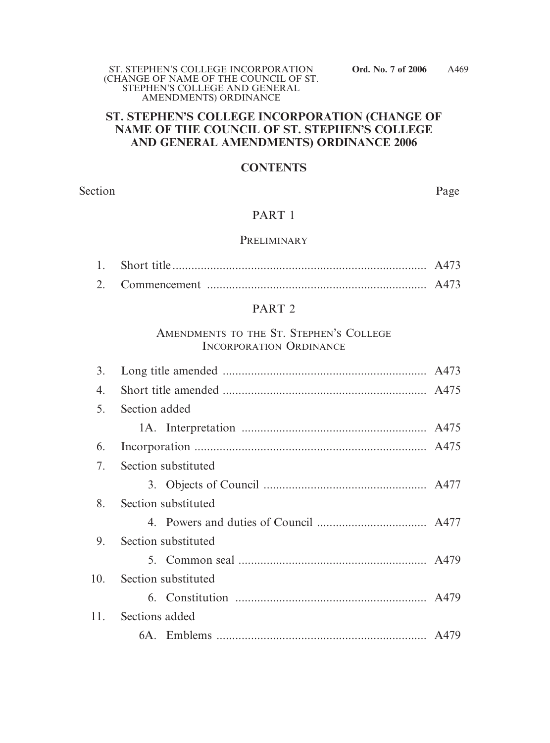## **ST. STEPHEN'S COLLEGE INCORPORATION (CHANGE OF NAME OF THE COUNCIL OF ST. STEPHEN'S COLLEGE AND GENERAL AMENDMENTS) ORDINANCE 2006**

## **CONTENTS**

Section Page

## PART 1

### PRELIMINARY

## PART 2

## AMENDMENTS TO THE ST. STEPHEN'S COLLEGE INCORPORATION ORDINANCE

| 3.  |                     |  |  |  |
|-----|---------------------|--|--|--|
| 4.  |                     |  |  |  |
| 5.  | Section added       |  |  |  |
|     |                     |  |  |  |
| 6.  |                     |  |  |  |
| 7.  | Section substituted |  |  |  |
|     |                     |  |  |  |
| 8.  | Section substituted |  |  |  |
|     |                     |  |  |  |
| 9.  | Section substituted |  |  |  |
|     |                     |  |  |  |
| 10. | Section substituted |  |  |  |
|     |                     |  |  |  |
| 11. | Sections added      |  |  |  |
|     |                     |  |  |  |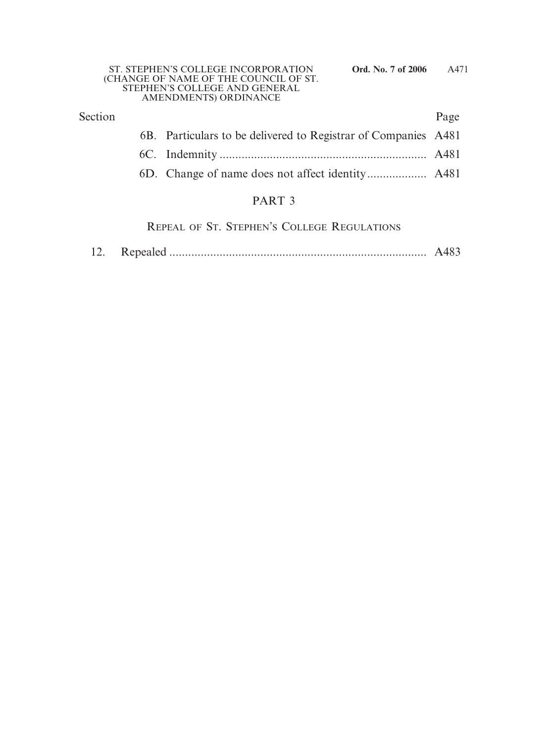| Section |                                                                | Page |
|---------|----------------------------------------------------------------|------|
|         | 6B. Particulars to be delivered to Registrar of Companies A481 |      |
|         |                                                                |      |
|         |                                                                |      |
|         | PART <sub>3</sub>                                              |      |

REPEAL OF ST. STEPHEN'S COLLEGE REGULATIONS

| 12. |  |  |
|-----|--|--|
|-----|--|--|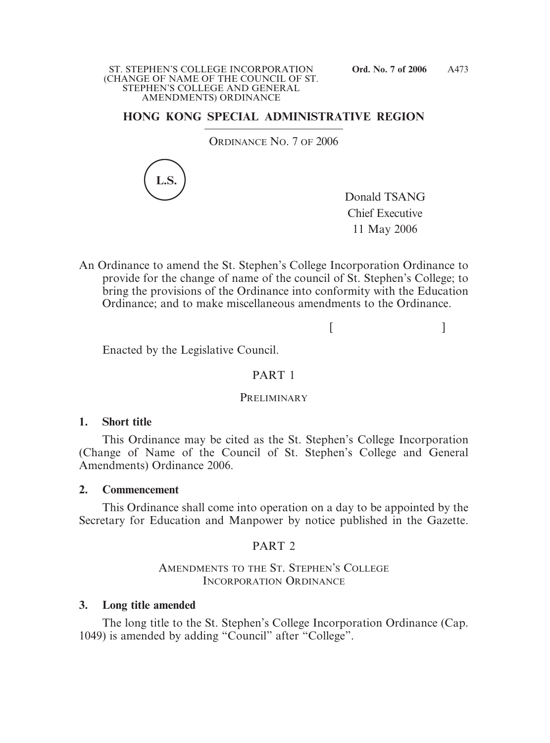## **HONG KONG SPECIAL ADMINISTRATIVE REGION**

ORDINANCE NO. 7 OF 2006



Donald TSANG Chief Executive 11 May 2006

An Ordinance to amend the St. Stephen's College Incorporation Ordinance to provide for the change of name of the council of St. Stephen's College; to bring the provisions of the Ordinance into conformity with the Education Ordinance; and to make miscellaneous amendments to the Ordinance.

 $[$   $]$ 

Enacted by the Legislative Council.

## PART 1

#### **PRELIMINARY**

## **1. Short title**

This Ordinance may be cited as the St. Stephen's College Incorporation (Change of Name of the Council of St. Stephen's College and General Amendments) Ordinance 2006.

## **2. Commencement**

This Ordinance shall come into operation on a day to be appointed by the Secretary for Education and Manpower by notice published in the Gazette.

## PART 2

AMENDMENTS TO THE ST. STEPHEN'S COLLEGE INCORPORATION ORDINANCE

### **3. Long title amended**

The long title to the St. Stephen's College Incorporation Ordinance (Cap. 1049) is amended by adding "Council" after "College".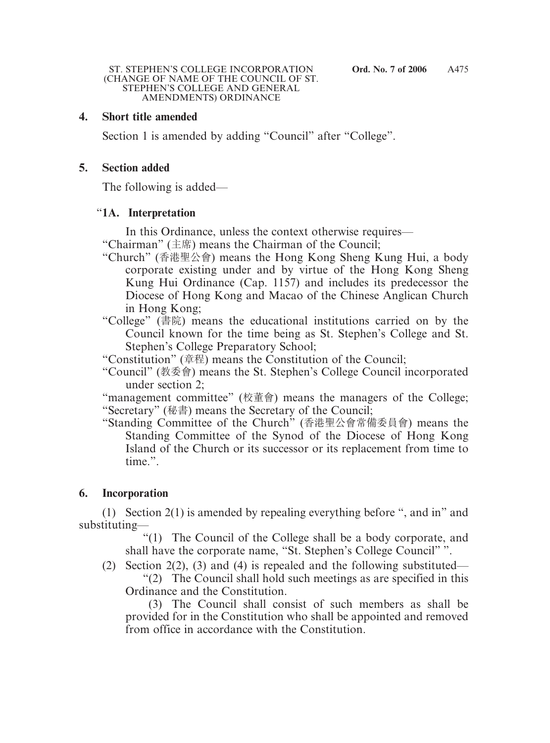## **4. Short title amended**

Section 1 is amended by adding "Council" after "College".

### **5. Section added**

The following is added—

### "**1A. Interpretation**

In this Ordinance, unless the context otherwise requires—

- "Chairman" (主席) means the Chairman of the Council;
- "Church" (香港聖公會) means the Hong Kong Sheng Kung Hui, a body corporate existing under and by virtue of the Hong Kong Sheng Kung Hui Ordinance (Cap. 1157) and includes its predecessor the Diocese of Hong Kong and Macao of the Chinese Anglican Church in Hong Kong;
- "College" (書院) means the educational institutions carried on by the Council known for the time being as St. Stephen's College and St. Stephen's College Preparatory School;
- "Constitution" (章程) means the Constitution of the Council;
- "Council" (桝委會) means the St. Stephen's College Council incorporated under section 2;

"management committee" (校董會) means the managers of the College; "Secretary" (秘書) means the Secretary of the Council;

"Standing Committee of the Church" (香港聖公會常備委員會) means the Standing Committee of the Synod of the Diocese of Hong Kong Island of the Church or its successor or its replacement from time to time.".

## **6. Incorporation**

(1) Section 2(1) is amended by repealing everything before ", and in" and substituting—

"(1) The Council of the College shall be a body corporate, and shall have the corporate name, "St. Stephen's College Council" ".

(2) Section 2(2), (3) and (4) is repealed and the following substituted— "(2) The Council shall hold such meetings as are specified in this Ordinance and the Constitution.

(3) The Council shall consist of such members as shall be provided for in the Constitution who shall be appointed and removed from office in accordance with the Constitution.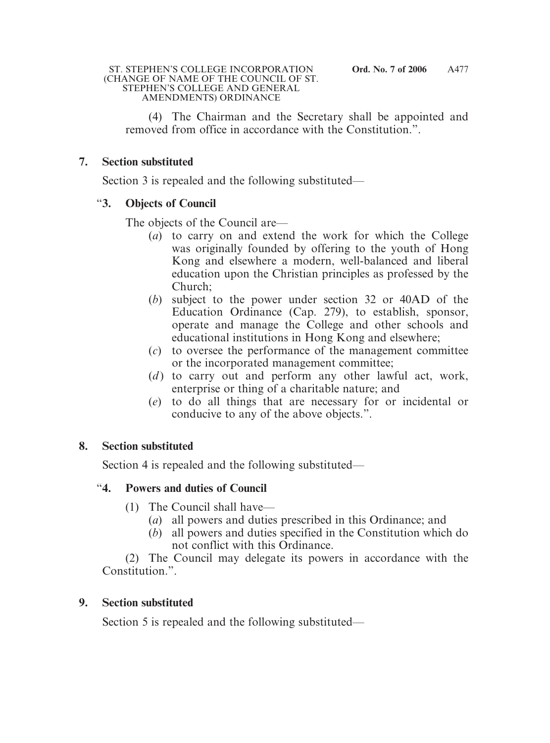(4) The Chairman and the Secretary shall be appointed and removed from office in accordance with the Constitution.".

## **7. Section substituted**

Section 3 is repealed and the following substituted—

## "**3. Objects of Council**

The objects of the Council are—

- (*a*) to carry on and extend the work for which the College was originally founded by offering to the youth of Hong Kong and elsewhere a modern, well-balanced and liberal education upon the Christian principles as professed by the Church;
- (*b*) subject to the power under section 32 or 40AD of the Education Ordinance (Cap. 279), to establish, sponsor, operate and manage the College and other schools and educational institutions in Hong Kong and elsewhere;
- (*c*) to oversee the performance of the management committee or the incorporated management committee;
- (*d*) to carry out and perform any other lawful act, work, enterprise or thing of a charitable nature; and
- (*e*) to do all things that are necessary for or incidental or conducive to any of the above objects.".

## **8. Section substituted**

Section 4 is repealed and the following substituted—

# "**4. Powers and duties of Council**

- (1) The Council shall have—
	- (*a*) all powers and duties prescribed in this Ordinance; and
	- (*b*) all powers and duties specified in the Constitution which do not conflict with this Ordinance.

(2) The Council may delegate its powers in accordance with the Constitution.".

# **9. Section substituted**

Section 5 is repealed and the following substituted—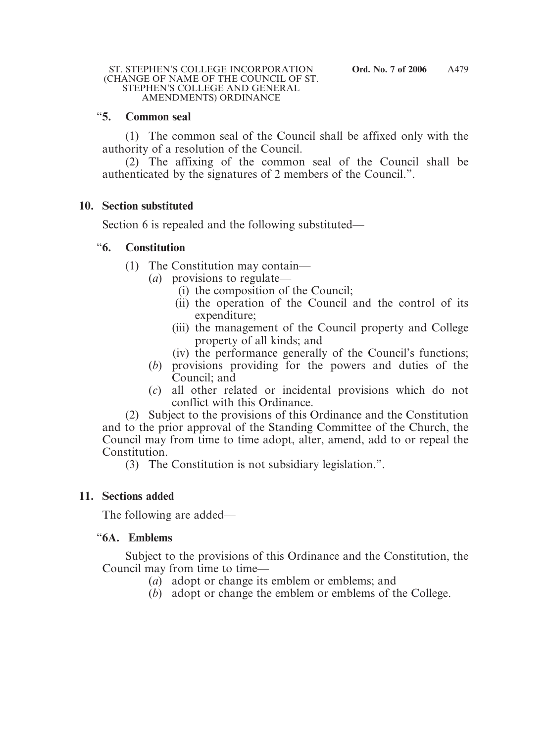## "**5. Common seal**

(1) The common seal of the Council shall be affixed only with the authority of a resolution of the Council.

(2) The affixing of the common seal of the Council shall be authenticated by the signatures of 2 members of the Council.".

## **10. Section substituted**

Section 6 is repealed and the following substituted—

## "**6. Constitution**

- (1) The Constitution may contain—
	- (*a*) provisions to regulate—
		- (i) the composition of the Council;
		- (ii) the operation of the Council and the control of its expenditure;
		- (iii) the management of the Council property and College property of all kinds; and
		- (iv) the performance generally of the Council's functions;
	- (*b*) provisions providing for the powers and duties of the Council; and
	- (*c*) all other related or incidental provisions which do not conflict with this Ordinance.

(2) Subject to the provisions of this Ordinance and the Constitution and to the prior approval of the Standing Committee of the Church, the Council may from time to time adopt, alter, amend, add to or repeal the Constitution.

(3) The Constitution is not subsidiary legislation.".

## **11. Sections added**

The following are added—

## "**6A. Emblems**

Subject to the provisions of this Ordinance and the Constitution, the Council may from time to time—

- (*a*) adopt or change its emblem or emblems; and
- (*b*) adopt or change the emblem or emblems of the College.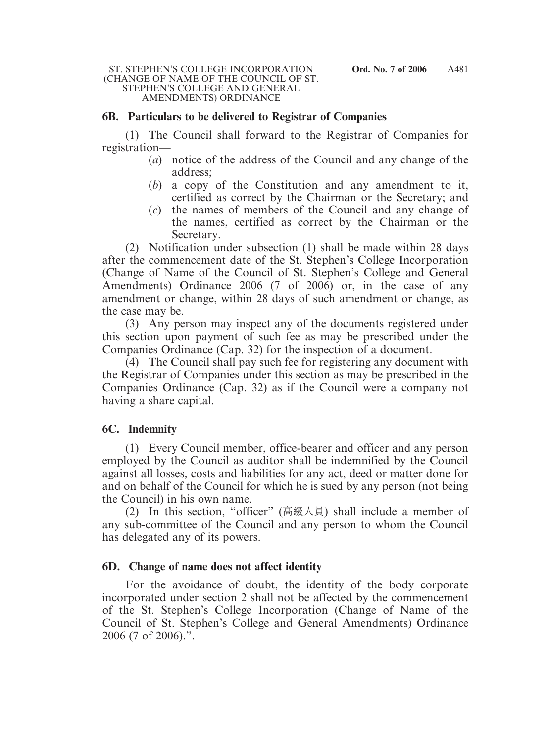### **6B. Particulars to be delivered to Registrar of Companies**

(1) The Council shall forward to the Registrar of Companies for registration—

- (*a*) notice of the address of the Council and any change of the address;
- (*b*) a copy of the Constitution and any amendment to it, certified as correct by the Chairman or the Secretary; and
- (*c*) the names of members of the Council and any change of the names, certified as correct by the Chairman or the Secretary.

(2) Notification under subsection (1) shall be made within 28 days after the commencement date of the St. Stephen's College Incorporation (Change of Name of the Council of St. Stephen's College and General Amendments) Ordinance 2006 (7 of 2006) or, in the case of any amendment or change, within 28 days of such amendment or change, as the case may be.

(3) Any person may inspect any of the documents registered under this section upon payment of such fee as may be prescribed under the Companies Ordinance (Cap. 32) for the inspection of a document.

(4) The Council shall pay such fee for registering any document with the Registrar of Companies under this section as may be prescribed in the Companies Ordinance (Cap. 32) as if the Council were a company not having a share capital.

## **6C. Indemnity**

(1) Every Council member, office-bearer and officer and any person employed by the Council as auditor shall be indemnified by the Council against all losses, costs and liabilities for any act, deed or matter done for and on behalf of the Council for which he is sued by any person (not being the Council) in his own name.

(2) In this section, "officer" (高級人員) shall include a member of any sub-committee of the Council and any person to whom the Council has delegated any of its powers.

## **6D. Change of name does not affect identity**

For the avoidance of doubt, the identity of the body corporate incorporated under section 2 shall not be affected by the commencement of the St. Stephen's College Incorporation (Change of Name of the Council of St. Stephen's College and General Amendments) Ordinance 2006 (7 of 2006).".